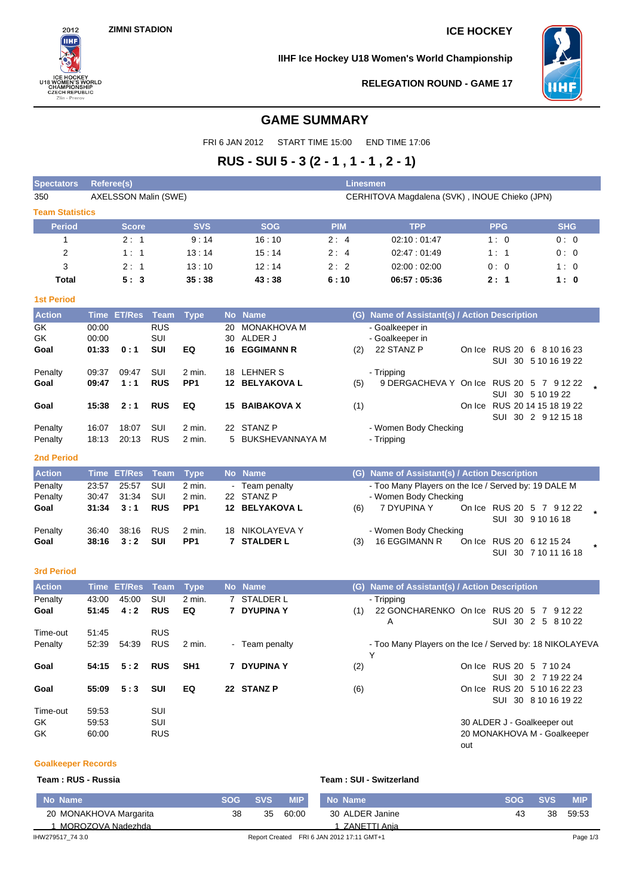$2012$ 

**BUCKET<br>8 WOMEN'S WORK**<br>CHAMPIONSHIP<br>CZECH REPUBLIC<br>Zlin - Prerov

**ORLD** 

U18

**IIHF Ice Hockey U18 Women's World Championship**



**RELEGATION ROUND - GAME 17**

## **GAME SUMMARY**

FRI 6 JAN 2012 START TIME 15:00 END TIME 17:06

# **RUS - SUI 5 - 3 (2 - 1 , 1 - 1 , 2 - 1)**

| <b>Spectators</b>      | <b>Referee(s)</b> |                      |             |                 | <b>Linesmen</b>                               |                    |            |                                                               |  |                          |                                                     |  |
|------------------------|-------------------|----------------------|-------------|-----------------|-----------------------------------------------|--------------------|------------|---------------------------------------------------------------|--|--------------------------|-----------------------------------------------------|--|
| 350                    |                   | AXELSSON Malin (SWE) |             |                 | CERHITOVA Magdalena (SVK), INOUE Chieko (JPN) |                    |            |                                                               |  |                          |                                                     |  |
| <b>Team Statistics</b> |                   |                      |             |                 |                                               |                    |            |                                                               |  |                          |                                                     |  |
| Period                 |                   | <b>Score</b>         |             | <b>SVS</b>      |                                               | <b>SOG</b>         | <b>PIM</b> | <b>TPP</b>                                                    |  | <b>PPG</b>               | <b>SHG</b>                                          |  |
| 1                      |                   | 2:1                  |             | 9:14            |                                               | 16:10              | 2:4        | 02:10:01:47                                                   |  | 1:0                      | 0:0                                                 |  |
| 2                      |                   | 1:1                  |             | 13:14           |                                               | 15:14              | 2:4        | 02:47:01:49                                                   |  | 1:1                      | 0:0                                                 |  |
| 3                      |                   | 2:1                  |             | 13:10           |                                               | 12:14              | 2:2        | 02:00:02:00                                                   |  | 0:0                      | 1:0                                                 |  |
| <b>Total</b>           |                   | 5:3                  |             | 35:38           |                                               | 43:38              | 6:10       | 06:57:05:36                                                   |  | 2:1                      | 1:0                                                 |  |
| <b>1st Period</b>      |                   |                      |             |                 |                                               |                    |            |                                                               |  |                          |                                                     |  |
| <b>Action</b>          |                   | Time ET/Res          | <b>Team</b> | <b>Type</b>     |                                               | No Name            |            | (G) Name of Assistant(s) / Action Description                 |  |                          |                                                     |  |
| GK                     | 00:00             |                      | <b>RUS</b>  |                 | 20                                            | MONAKHOVA M        |            | - Goalkeeper in                                               |  |                          |                                                     |  |
| GK                     | 00:00             |                      | SUI         |                 | 30                                            | ALDER J            |            | - Goalkeeper in                                               |  |                          |                                                     |  |
| Goal                   | 01:33             | 0:1                  | SUI         | EQ              | 16                                            | <b>EGGIMANN R</b>  | (2)        | 22 STANZ P                                                    |  |                          | On Ice RUS 20 6 8 10 16 23<br>SUI 30 5 10 16 19 22  |  |
| Penalty                | 09:37             | 09:47                | SUI         | 2 min.          | 18                                            | <b>LEHNER S</b>    |            | - Tripping                                                    |  |                          |                                                     |  |
| Goal                   | 09:47             | 1:1                  | <b>RUS</b>  | PP <sub>1</sub> |                                               | 12 BELYAKOVA L     | (5)        | 9 DERGACHEVA Y On Ice RUS 20 5 7 9 12 22                      |  |                          |                                                     |  |
|                        |                   |                      |             |                 |                                               |                    |            |                                                               |  |                          | SUI 30 5 10 19 22                                   |  |
| Goal                   | 15:38             | 2:1                  | <b>RUS</b>  | EQ              | 15                                            | <b>BAIBAKOVA X</b> | (1)        |                                                               |  |                          | On Ice RUS 20 14 15 18 19 22<br>SUI 30 2 9 12 15 18 |  |
| Penalty                | 16:07             | 18:07                | SUI         | 2 min.          |                                               | 22 STANZ P         |            | - Women Body Checking                                         |  |                          |                                                     |  |
| Penalty                | 18:13             | 20:13                | <b>RUS</b>  | 2 min.          |                                               | 5 BUKSHEVANNAYA M  |            | - Tripping                                                    |  |                          |                                                     |  |
|                        |                   |                      |             |                 |                                               |                    |            |                                                               |  |                          |                                                     |  |
| <b>2nd Period</b>      |                   |                      |             |                 |                                               |                    |            |                                                               |  |                          |                                                     |  |
| <b>Action</b>          | <b>Time</b>       | <b>ET/Res</b>        | <b>Team</b> | <b>Type</b>     |                                               | No Name            |            | (G) Name of Assistant(s) / Action Description                 |  |                          |                                                     |  |
| Penalty                | 23:57             | 25:57                | SUI         | 2 min.          |                                               | - Team penalty     |            | - Too Many Players on the Ice / Served by: 19 DALE M          |  |                          |                                                     |  |
| Penalty                | 30:47             | 31:34                | SUI         | 2 min.          |                                               | 22 STANZ P         |            | - Women Body Checking<br>7 DYUPINA Y                          |  |                          |                                                     |  |
| Goal                   | 31:34             | 3:1                  | <b>RUS</b>  | PP <sub>1</sub> |                                               | 12 BELYAKOVA L     | (6)        |                                                               |  |                          | On Ice RUS 20 5 7 9 12 22<br>SUI 30 9 10 16 18      |  |
| Penalty                | 36:40             | 38:16                | <b>RUS</b>  | 2 min.          |                                               | 18 NIKOLAYEVA Y    |            | - Women Body Checking                                         |  |                          |                                                     |  |
| Goal                   | 38:16             | 3:2                  | SUI         | PP <sub>1</sub> |                                               | <b>7 STALDER L</b> | (3)        | 16 EGGIMANN R                                                 |  | On Ice RUS 20 6 12 15 24 |                                                     |  |
|                        |                   |                      |             |                 |                                               |                    |            |                                                               |  |                          | SUI 30 7 10 11 16 18                                |  |
| <b>3rd Period</b>      |                   |                      |             |                 |                                               |                    |            |                                                               |  |                          |                                                     |  |
| <b>Action</b>          |                   | <b>Time ET/Res</b>   | <b>Team</b> | <b>Type</b>     |                                               | No Name            |            | (G) Name of Assistant(s) / Action Description                 |  |                          |                                                     |  |
| Penalty                | 43:00             | 45:00                | SUI         | 2 min.          |                                               | 7 STALDER L        |            | - Tripping                                                    |  |                          |                                                     |  |
| Goal                   | 51:45             | 4:2                  | <b>RUS</b>  | EQ              |                                               | 7 DYUPINA Y        | (1)        | 22 GONCHARENKO On Ice RUS 20 5 7 9 12 22<br>Α                 |  |                          | SUI 30 2 5 8 10 22                                  |  |
| Time-out               | 51:45             |                      | <b>RUS</b>  |                 |                                               |                    |            |                                                               |  |                          |                                                     |  |
| Penalty                | 52:39             | 54:39                | <b>RUS</b>  | $2$ min.        |                                               | - Team penalty     |            | - Too Many Players on the Ice / Served by: 18 NIKOLAYEVA<br>Y |  |                          |                                                     |  |
| Goal                   | 54:15             | 5:2                  | <b>RUS</b>  | SH <sub>1</sub> |                                               | 7 DYUPINA Y        | (2)        |                                                               |  |                          | On Ice RUS 20 5 7 10 24<br>SUI 30 2 7 19 22 24      |  |
| Goal                   | 55:09             | 5:3                  | SUI         | EQ              |                                               | 22 STANZ P         | (6)        |                                                               |  |                          | On Ice RUS 20 5 10 16 22 23                         |  |
| Time-out               | 59:53             |                      | SUI         |                 |                                               |                    |            |                                                               |  |                          | SUI 30 8 10 16 19 22                                |  |
| GK                     | 59:53             |                      | SUI         |                 |                                               |                    |            |                                                               |  |                          | 30 ALDER J - Goalkeeper out                         |  |
|                        |                   |                      |             |                 |                                               |                    |            |                                                               |  |                          |                                                     |  |
| GK                     | 60:00             |                      | <b>RUS</b>  |                 |                                               |                    |            |                                                               |  |                          | 20 MONAKHOVA M - Goalkeeper                         |  |

### **Goalkeeper Records**

### **Team : RUS - Russia Team : SUI - Switzerland**

| ⊾No Name \             | <b>SOG</b> | <b>SVS</b> | <b>MIP</b> | No Name                                   | <b>SOG</b> | / SVS. | <b>MIP</b> |
|------------------------|------------|------------|------------|-------------------------------------------|------------|--------|------------|
| 20 MONAKHOVA Margarita | 38         | 35         | 60:00      | 30 ALDER Janine                           | 43         | 38     | 59.53      |
| 1 MOROZOVA Nadezhda    |            |            |            | ZANETTI Ania                              |            |        |            |
| IHW279517 74 3.0       |            |            |            | Report Created FRI 6 JAN 2012 17:11 GMT+1 |            |        | Page 1/3   |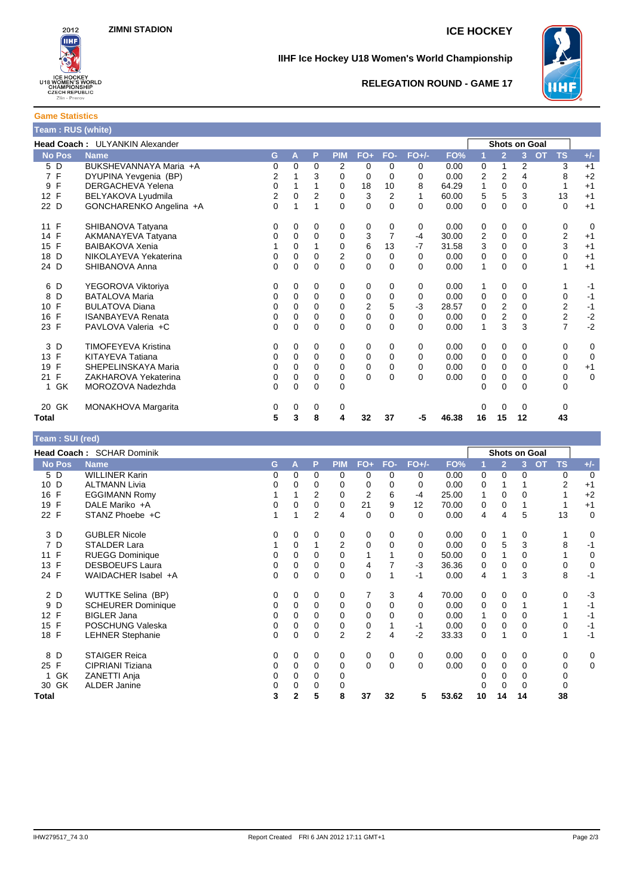

**Game Statistics**

### **IIHF Ice Hockey U18 Women's World Championship**



### **RELEGATION ROUND - GAME 17**

|               | Team: RUS (white)                     |   |          |          |            |       |          |          |       |                      |          |                      |    |   |       |
|---------------|---------------------------------------|---|----------|----------|------------|-------|----------|----------|-------|----------------------|----------|----------------------|----|---|-------|
|               | <b>Head Coach: ULYANKIN Alexander</b> |   |          |          |            |       |          |          |       |                      |          | <b>Shots on Goal</b> |    |   |       |
| <b>No Pos</b> | <b>Name</b>                           | G | А        | P        | <b>PIM</b> | $FO+$ | FO-      | $FO+/-I$ | FO%   |                      |          |                      | TS |   | $+/-$ |
| 5 D           | BUKSHEVANNAYA Maria +A                | 0 | 0        | $\Omega$ | 2          | 0     |          | 0        | 0.00  | 0                    |          | 2                    |    | 3 | $+1$  |
| 7 F           | DYUPINA Yevgenia (BP)                 | 2 |          | 3        | 0          | 0     | $\Omega$ | 0        | 0.00  | $\mathbf{2}^{\circ}$ | 2        | 4                    |    | 8 | +2    |
| 9 F           | <b>DERGACHEVA Yelena</b>              | 0 |          |          | 0          | 18    | 10       | 8        | 64.29 | 1                    | $\Omega$ | $\Omega$             |    |   | $+1$  |
| 12 F          | BELYAKOVA Lyudmila                    | 2 | 0        | 2        | 0          | 3     | 2        |          | 60.00 | 5                    | 5        | 3                    | 13 |   | $+1$  |
| 22 D          | GONCHARENKO Angelina +A               | 0 | 1        | 4        | $\Omega$   | 0     | $\Omega$ | 0        | 0.00  | 0                    | $\Omega$ | $\Omega$             |    | 0 | $+1$  |
| 11 F          | SHIBANOVA Tatyana                     | 0 | 0        | $\Omega$ | 0          | 0     | $\Omega$ | 0        | 0.00  | 0                    | $\Omega$ | 0                    |    |   | 0     |
| 14 F          | AKMANAYEVA Tatyana                    | 0 | $\Omega$ | $\Omega$ | 0          | 3     |          | -4       | 30.00 | 2                    | $\Omega$ | $\Omega$             |    | 2 | $+1$  |
| 15 F          | <b>BAIBAKOVA Xenia</b>                |   | 0        | 1        | 0          | 6     | 13       | $-7$     | 31.58 | 3                    | $\Omega$ | $\Omega$             |    | 3 | $+1$  |
| 18 D          | NIKOLAYEVA Yekaterina                 | 0 | 0        | $\Omega$ | 2          | 0     |          | 0        | 0.00  | 0                    |          | $\Omega$             |    |   | $+1$  |
|               |                                       |   |          |          |            |       |          |          |       |                      |          |                      |    |   |       |

| Total     |                          | 5 | 3 | 8        | 4 | 32 | 37       | -5       | 46.38 | 16 | 15 | 12       | 43 |      |
|-----------|--------------------------|---|---|----------|---|----|----------|----------|-------|----|----|----------|----|------|
| GK<br>20  | MONAKHOVA Margarita      | 0 | 0 | 0        |   |    |          |          |       | 0  | 0  | $\Omega$ |    |      |
| <b>GK</b> | MOROZOVA Nadezhda        | 0 | 0 | 0        | 0 |    |          |          |       | 0  | 0  | 0        | 0  |      |
| 21 F      | ZAKHAROVA Yekaterina     | 0 | 0 | 0        | 0 | 0  | 0        | $\Omega$ | 0.00  | 0  | 0  | 0        | 0  | 0    |
| F<br>19   | SHEPELINSKAYA Maria      | 0 | 0 | 0        | 0 | 0  | $\Omega$ | 0        | 0.00  | 0  | 0  | 0        | 0  | $+1$ |
| F<br>13   | KITAYEVA Tatiana         | 0 | 0 | 0        | 0 | 0  | 0        | $\Omega$ | 0.00  | 0  | 0  | 0        | 0  | 0    |
| 3 D       | TIMOFEYEVA Kristina      | 0 | 0 | $\Omega$ | 0 | 0  | $\Omega$ | $\Omega$ | 0.00  | 0  | 0  | 0        | 0  | 0    |
| 23 F      | PAVLOVA Valeria +C       | 0 | 0 | 0        | 0 | 0  | 0        | 0        | 0.00  | 1  | 3  | 3        | 7  | $-2$ |
| F<br>16   | <b>ISANBAYEVA Renata</b> | 0 | 0 | 0        | 0 | 0  | 0        | $\Omega$ | 0.00  | 0  | 2  | 0        | 2  | $-2$ |
| 10 F      | <b>BULATOVA Diana</b>    | 0 | 0 | 0        | 0 | 2  | 5        | $-3$     | 28.57 | 0  | 2  | 0        | 2  | -1   |
| 8 D       | <b>BATALOVA Maria</b>    | 0 | 0 | 0        |   | 0  | 0        | $\Omega$ | 0.00  | 0  | 0  | 0        | 0  | -1   |
| 6 D       | YEGOROVA Viktoriya       |   | 0 | 0        | 0 | 0  | 0        | 0        | 0.00  |    | 0  | 0        |    | -1   |
| 24 D      | SHIBANOVA Anna           | 0 | 0 | $\Omega$ | 0 | 0  | $\Omega$ | $\Omega$ | 0.00  | 1  | 0  | $\Omega$ |    | $+1$ |
| D<br>18   | NIKOLAYEVA Yekaterina    | 0 | 0 |          | 2 | 0  | 0        | 0        | 0.00  | 0  | 0  | 0        | 0  | $+1$ |
| F<br>15   | <b>BAIBAKOVA Xenia</b>   |   | 0 |          | 0 | 6  | 13       | $-7$     | 31.58 | 3  | 0  | 0        | 3  | $+1$ |
| 14 F      | AKMANAYEVA Tatyana       | 0 | 0 | 0        | 0 | 3  |          | -4       | 30.00 | 2  | 0  | 0        | 2  | $+1$ |
| 11 F      | SHIBANOVA Tatyana        | 0 | 0 | 0        | 0 | 0  | 0        | 0        | 0.00  | 0  | 0  | 0        | 0  | 0    |
|           |                          |   |   |          |   |    |          |          |       |    |    |          |    |      |

| Team: SUI (red) |                           |    |              |                |                |                |          |             |       |          |                |                |                        |          |                |
|-----------------|---------------------------|----|--------------|----------------|----------------|----------------|----------|-------------|-------|----------|----------------|----------------|------------------------|----------|----------------|
|                 | Head Coach: SCHAR Dominik |    |              |                |                |                |          |             |       |          | Shots on Goal  |                |                        |          |                |
| <b>No Pos</b>   | <b>Name</b>               | G. | A            | P              | <b>PIM</b>     | $FO+$          | FO-      | $FO+/-$     | FO%   |          | $\overline{2}$ | $\overline{3}$ | <b>TS</b><br><b>OT</b> |          | $+/-$          |
| 5 D             | <b>WILLINER Karin</b>     | 0  | 0            | 0              | 0              | 0              | 0        | 0           | 0.00  | 0        | 0              | 0              |                        | 0        | $\overline{0}$ |
| 10 D            | <b>ALTMANN Livia</b>      | 0  | 0            | 0              | 0              | 0              | 0        | 0           | 0.00  | 0        |                |                |                        | 2        | $+1$           |
| 16 F            | <b>EGGIMANN Romy</b>      |    |              | 2              | 0              | $\overline{2}$ | 6        | -4          | 25.00 | 1        | 0              | 0              |                        |          | $+2$           |
| 19 F            | DALE Mariko +A            | 0  | $\Omega$     | 0              | $\Omega$       | 21             | 9        | 12          | 70.00 | 0        | $\mathbf 0$    |                |                        |          | $+1$           |
| 22 F            | STANZ Phoebe +C           |    |              | $\overline{2}$ | 4              | 0              | $\Omega$ | 0           | 0.00  | 4        | 4              | 5              |                        | 13       | $\mathbf 0$    |
| 3 D             | <b>GUBLER Nicole</b>      | 0  | 0            | 0              | 0              | 0              | $\Omega$ | 0           | 0.00  | 0        | 1              | 0              |                        |          | 0              |
| 7 D             | STALDER Lara              |    | 0            |                | 2              | 0              | 0        | $\Omega$    | 0.00  | 0        | 5              | 3              |                        | 8        | $-1$           |
| 11 F            | <b>RUEGG Dominique</b>    | 0  | 0            | $\Omega$       | $\mathbf{0}$   |                |          | 0           | 50.00 | $\Omega$ |                | 0              |                        |          | 0              |
| 13 F            | <b>DESBOEUFS Laura</b>    | 0  | 0            | 0              | 0              | 4              |          | $-3$        | 36.36 | 0        | 0              | 0              |                        | 0        | $\mathbf 0$    |
| 24 F            | WAIDACHER Isabel +A       | 0  | 0            | 0              | 0              | 0              |          | $-1$        | 0.00  | 4        | 1              | 3              |                        | 8        | $-1$           |
| 2 D             | <b>WUTTKE Selina (BP)</b> | 0  | 0            | 0              | 0              | 7              | 3        | 4           | 70.00 | 0        | 0              | 0              |                        | $\Omega$ | $-3$           |
| D<br>9          | <b>SCHEURER Dominique</b> | 0  | 0            | $\Omega$       | 0              | 0              | 0        | $\Omega$    | 0.00  | 0        | $\Omega$       |                |                        |          | $-1$           |
| 12 F            | <b>BIGLER Jana</b>        | 0  | 0            | 0              | 0              | 0              | 0        | 0           | 0.00  | 1        | 0              | 0              |                        |          | $-1$           |
| 15 F            | POSCHUNG Valeska          | 0  | 0            | 0              | 0              | 0              |          | -1          | 0.00  | 0        | $\mathbf 0$    | 0              |                        | 0        | $-1$           |
| 18 F            | <b>LEHNER Stephanie</b>   | 0  | $\Omega$     | $\mathbf 0$    | $\overline{2}$ | $\overline{2}$ | 4        | $-2$        | 33.33 | 0        | 1              | $\Omega$       |                        | 1        | $-1$           |
| D<br>8          | <b>STAIGER Reica</b>      | 0  | $\Omega$     | 0              | 0              | 0              | 0        | $\mathbf 0$ | 0.00  | 0        | 0              | 0              |                        | 0        | 0              |
| 25 F            | CIPRIANI Tiziana          | 0  | 0            | $\Omega$       | $\Omega$       | $\Omega$       | $\Omega$ | $\Omega$    | 0.00  | $\Omega$ | $\Omega$       | $\Omega$       |                        | 0        | $\mathbf 0$    |
| GK<br>1         | ZANETTI Anja              | 0  | 0            | 0              | 0              |                |          |             |       |          | 0              | 0              |                        | 0        |                |
| 30 GK           | <b>ALDER Janine</b>       | 0  |              | 0              | 0              |                |          |             |       |          | 0              | 0              |                        | 0        |                |
| Total           |                           | 3  | $\mathbf{2}$ | 5              | 8              | 37             | 32       | 5           | 53.62 | 10       | 14             | 14             |                        | 38       |                |